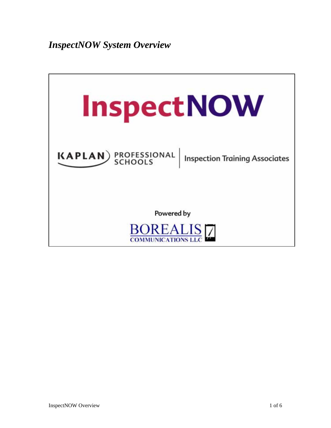*InspectNOW System Overview* 

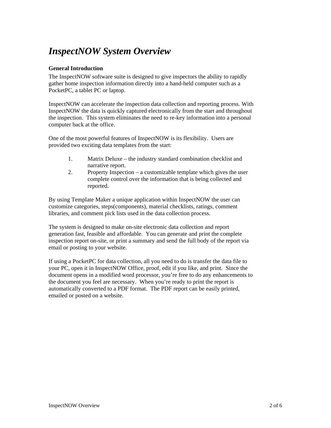# *InspectNOW System Overview*

# **General Introduction**

The InspectNOW software suite is designed to give inspectors the ability to rapidly gather home inspection information directly into a hand-held computer such as a PocketPC, a tablet PC or laptop.

InspectNOW can accelerate the inspection data collection and reporting process. With InspectNOW the data is quickly captured electronically from the start and throughout the inspection. This system eliminates the need to re-key information into a personal computer back at the office.

One of the most powerful features of InspectNOW is its flexibility. Users are provided two exciting data templates from the start:

- 1. Matrix Deluxe the industry standard combination checklist and narrative report.
- 2. Property Inspection a customizable template which gives the user complete control over the information that is being collected and reported.

By using Template Maker a unique application within InspectNOW the user can customize categories, steps(components), material checklists, ratings, comment libraries, and comment pick lists used in the data collection process.

The system is designed to make on-site electronic data collection and report generation fast, feasible and affordable. You can generate and print the complete inspection report on-site, or print a summary and send the full body of the report via email or posting to your website.

If using a PocketPC for data collection, all you need to do is transfer the data file to your PC, open it in InspectNOW Office, proof, edit if you like, and print. Since the document opens in a modified word processor, you're free to do any enhancements to the document you feel are necessary. When you're ready to print the report is automatically converted to a PDF format. The PDF report can be easily printed, emailed or posted on a website.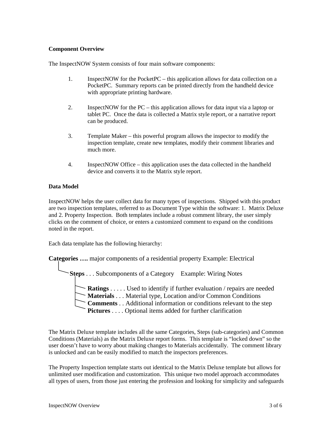## **Component Overview**

The InspectNOW System consists of four main software components:

- 1. InspectNOW for the PocketPC this application allows for data collection on a PocketPC. Summary reports can be printed directly from the handheld device with appropriate printing hardware.
- 2. InspectNOW for the PC this application allows for data input via a laptop or tablet PC. Once the data is collected a Matrix style report, or a narrative report can be produced.
- 3. Template Maker this powerful program allows the inspector to modify the inspection template, create new templates, modify their comment libraries and much more.
- 4. InspectNOW Office this application uses the data collected in the handheld device and converts it to the Matrix style report.

## **Data Model**

InspectNOW helps the user collect data for many types of inspections. Shipped with this product are two inspection templates, referred to as Document Type within the software: 1. Matrix Deluxe and 2. Property Inspection. Both templates include a robust comment library, the user simply clicks on the comment of choice, or enters a customized comment to expand on the conditions noted in the report.

Each data template has the following hierarchy:

**Categories ….** major components of a residential property Example: Electrical

**Steps** . . . Subcomponents of a Category Example: Wiring Notes

- **Ratings** . . . . . Used to identify if further evaluation / repairs are needed
- **Materials** . . . Material type, Location and/or Common Conditions
- **Comments** . . Additional information or conditions relevant to the step
- **Pictures** . . . . Optional items added for further clarification

The Matrix Deluxe template includes all the same Categories, Steps (sub-categories) and Common Conditions (Materials) as the Matrix Deluxe report forms. This template is "locked down" so the user doesn't have to worry about making changes to Materials accidentally. The comment library is unlocked and can be easily modified to match the inspectors preferences.

The Property Inspection template starts out identical to the Matrix Deluxe template but allows for unlimited user modification and customization. This unique two model approach accommodates all types of users, from those just entering the profession and looking for simplicity and safeguards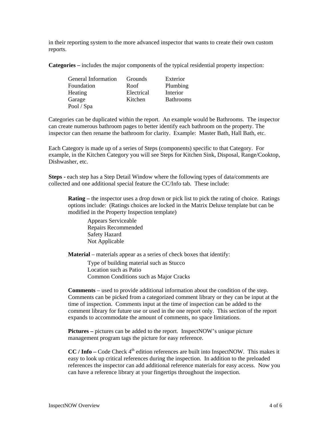in their reporting system to the more advanced inspector that wants to create their own custom reports.

**Categories –** includes the major components of the typical residential property inspection:

| <b>General Information</b> | Grounds    | Exterior         |
|----------------------------|------------|------------------|
| Foundation                 | Roof       | Plumbing         |
| Heating                    | Electrical | Interior         |
| Garage                     | Kitchen    | <b>Bathrooms</b> |
| Pool / Spa                 |            |                  |

Categories can be duplicated within the report. An example would be Bathrooms. The inspector can create numerous bathroom pages to better identify each bathroom on the property. The inspector can then rename the bathroom for clarity. Example: Master Bath, Hall Bath, etc.

Each Category is made up of a series of Steps (components) specific to that Category. For example, in the Kitchen Category you will see Steps for Kitchen Sink, Disposal, Range/Cooktop, Dishwasher, etc.

**Steps - each step has a Step Detail Window where the following types of data/comments are** collected and one additional special feature the CC/Info tab. These include:

**Rating –** the inspector uses a drop down or pick list to pick the rating of choice. Ratings options include: (Ratings choices are locked in the Matrix Deluxe template but can be modified in the Property Inspection template)

Appears Serviceable Repairs Recommended Safety Hazard Not Applicable

**Material** – materials appear as a series of check boxes that identify:

Type of building material such as Stucco Location such as Patio Common Conditions such as Major Cracks

**Comments** – used to provide additional information about the condition of the step. Comments can be picked from a categorized comment library or they can be input at the time of inspection. Comments input at the time of inspection can be added to the comment library for future use or used in the one report only. This section of the report expands to accommodate the amount of comments, no space limitations.

**Pictures –** pictures can be added to the report. InspectNOW's unique picture management program tags the picture for easy reference.

**CC** / Info – Code Check 4<sup>th</sup> edition references are built into InspectNOW. This makes it easy to look up critical references during the inspection. In addition to the preloaded references the inspector can add additional reference materials for easy access. Now you can have a reference library at your fingertips throughout the inspection.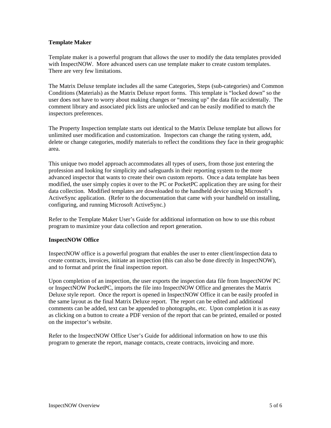#### **Template Maker**

Template maker is a powerful program that allows the user to modify the data templates provided with InspectNOW. More advanced users can use template maker to create custom templates. There are very few limitations.

The Matrix Deluxe template includes all the same Categories, Steps (sub-categories) and Common Conditions (Materials) as the Matrix Deluxe report forms. This template is "locked down" so the user does not have to worry about making changes or "messing up" the data file accidentally. The comment library and associated pick lists are unlocked and can be easily modified to match the inspectors preferences.

The Property Inspection template starts out identical to the Matrix Deluxe template but allows for unlimited user modification and customization. Inspectors can change the rating system, add, delete or change categories, modify materials to reflect the conditions they face in their geographic area.

This unique two model approach accommodates all types of users, from those just entering the profession and looking for simplicity and safeguards in their reporting system to the more advanced inspector that wants to create their own custom reports. Once a data template has been modified, the user simply copies it over to the PC or PocketPC application they are using for their data collection. Modified templates are downloaded to the handheld device using Microsoft's ActiveSync application. (Refer to the documentation that came with your handheld on installing, configuring, and running Microsoft ActiveSync.)

Refer to the Template Maker User's Guide for additional information on how to use this robust program to maximize your data collection and report generation.

#### **InspectNOW Office**

InspectNOW office is a powerful program that enables the user to enter client/inspection data to create contracts, invoices, initiate an inspection (this can also be done directly in InspectNOW), and to format and print the final inspection report.

Upon completion of an inspection, the user exports the inspection data file from InspectNOW PC or InspectNOW PocketPC, imports the file into InspectNOW Office and generates the Matrix Deluxe style report. Once the report is opened in InspectNOW Office it can be easily proofed in the same layout as the final Matrix Deluxe report. The report can be edited and additional comments can be added, text can be appended to photographs, etc. Upon completion it is as easy as clicking on a button to create a PDF version of the report that can be printed, emailed or posted on the inspector's website.

Refer to the InspectNOW Office User's Guide for additional information on how to use this program to generate the report, manage contacts, create contracts, invoicing and more.